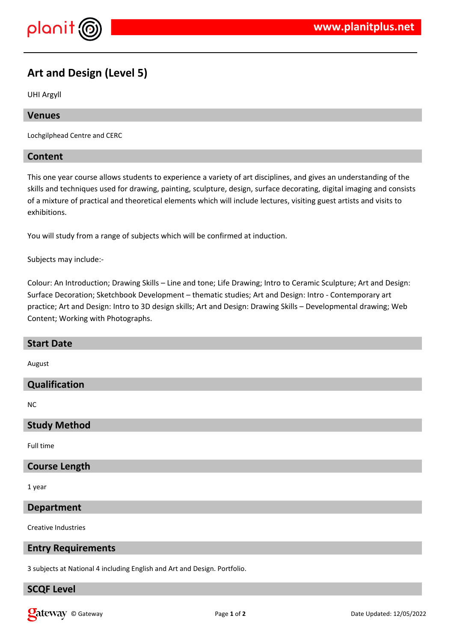

# **Art and Design (Level 5)**

UHI Argyll

### **Venues**

Lochgilphead Centre and CERC

### **Content**

This one year course allows students to experience a variety of art disciplines, and gives an understanding of the skills and techniques used for drawing, painting, sculpture, design, surface decorating, digital imaging and consists of a mixture of practical and theoretical elements which will include lectures, visiting guest artists and visits to exhibitions.

You will study from a range of subjects which will be confirmed at induction.

Subjects may include:-

Colour: An Introduction; Drawing Skills – Line and tone; Life Drawing; Intro to Ceramic Sculpture; Art and Design: Surface Decoration; Sketchbook Development – thematic studies; Art and Design: Intro - Contemporary art practice; Art and Design: Intro to 3D design skills; Art and Design: Drawing Skills – Developmental drawing; Web Content; Working with Photographs.

| <b>Start Date</b>          |
|----------------------------|
| August                     |
| Qualification              |
| NC                         |
| <b>Study Method</b>        |
| Full time                  |
| <b>Course Length</b>       |
| 1 year                     |
| <b>Department</b>          |
| <b>Creative Industries</b> |

### **Entry Requirements**

3 subjects at National 4 including English and Art and Design. Portfolio.

### **SCQF Level**